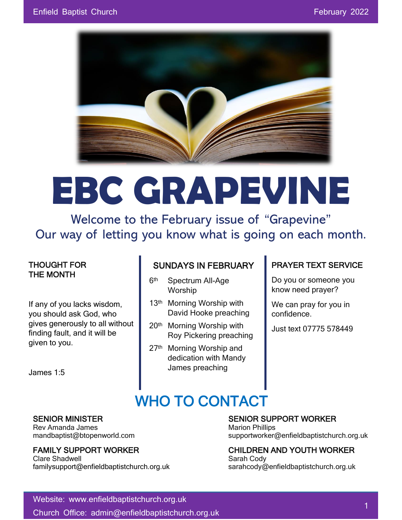

# **EBC GRAPEVINE**

Welcome to the February issue of "Grapevine" Our way of letting you know what is going on each month.

#### THOUGHT FOR THE MONTH

If any of you lacks wisdom, you should ask God, who gives generously to all without finding fault, and it will be given to you.

James 1:5

#### SUNDAYS IN FEBRUARY

- $6<sup>th</sup>$ Spectrum All-Age Worship
- 13<sup>th</sup> Morning Worship with David Hooke preaching
- 20<sup>th</sup> Morning Worship with Roy Pickering preaching
- 27<sup>th</sup> Morning Worship and dedication with Mandy James preaching

#### PRAYER TEXT SERVICE

Do you or someone you know need prayer?

We can pray for you in confidence.

Just text 07775 578449

# WHO TO CONTACT

Rev Amanda James Marion Phillips New Amanda James Marion Phillips

Clare Shadwell **Sarah Cody** Sarah Cody familysupport@enfieldbaptistchurch.org.uk sarahcody@enfieldbaptistchurch.org.uk

#### SENIOR MINISTER SENIOR SUPPORT WORKER

mandbaptist@btopenworld.com supportworker@enfieldbaptistchurch.org.uk

#### FAMILY SUPPORT WORKER CHILDREN AND YOUTH WORKER

Website: www.enfieldbaptistchurch.org.uk Church Office: admin@enfieldbaptistchurch.org.uk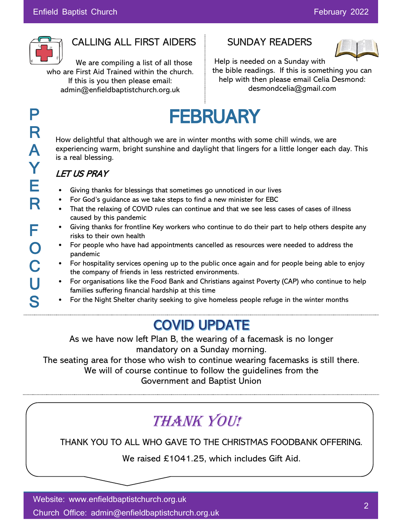

### CALLING ALL FIRST AIDERS

We are compiling a list of all those who are First Aid Trained within the church. If this is you then please email: admin@enfieldbaptistchurch.org.uk

#### SUNDAY READERS



Help is needed on a Sunday with the bible readings. If this is something you can help with then please email Celia Desmond: desmondcelia@gmail.com

# **FEBRUARY**

How delightful that although we are in winter months with some chill winds, we are experiencing warm, bright sunshine and daylight that lingers for a little longer each day. This is a real blessing.

#### LET US PRAY

- Giving thanks for blessings that sometimes go unnoticed in our lives
- For God's guidance as we take steps to find a new minister for EBC
- That the relaxing of COVID rules can continue and that we see less cases of cases of illness caused by this pandemic
- Giving thanks for frontline Key workers who continue to do their part to help others despite any risks to their own health
- For people who have had appointments cancelled as resources were needed to address the pandemic
- For hospitality services opening up to the public once again and for people being able to enjoy the company of friends in less restricted environments.
- For organisations like the Food Bank and Christians against Poverty (CAP) who continue to help families suffering financial hardship at this time
- For the Night Shelter charity seeking to give homeless people refuge in the winter months

### **COVID UPDATE**

As we have now left Plan B, the wearing of a facemask is no longer mandatory on a Sunday morning.

The seating area for those who wish to continue wearing facemasks is still there. We will of course continue to follow the guidelines from the Government and Baptist Union

# THANK YOU!

THANK YOU TO ALL WHO GAVE TO THE CHRISTMAS FOODBANK OFFERING.

We raised £1041.25, which includes Gift Aid.

Website: www.enfieldbaptistchurch.org.uk

Church Office: admin@enfieldbaptistchurch.org.uk